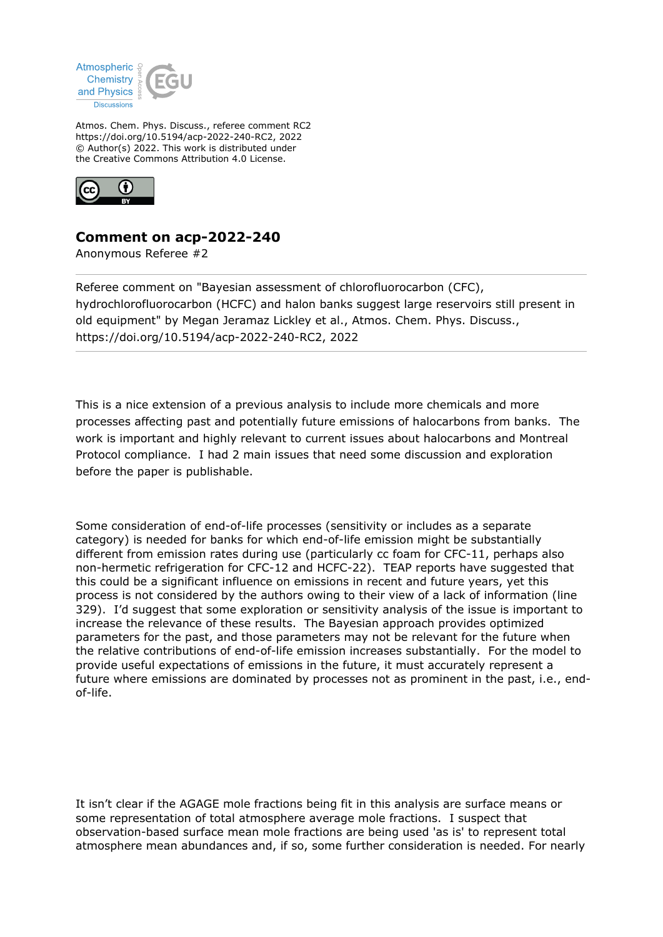

Atmos. Chem. Phys. Discuss., referee comment RC2 https://doi.org/10.5194/acp-2022-240-RC2, 2022 © Author(s) 2022. This work is distributed under the Creative Commons Attribution 4.0 License.



## **Comment on acp-2022-240**

Anonymous Referee #2

Referee comment on "Bayesian assessment of chlorofluorocarbon (CFC), hydrochlorofluorocarbon (HCFC) and halon banks suggest large reservoirs still present in old equipment" by Megan Jeramaz Lickley et al., Atmos. Chem. Phys. Discuss., https://doi.org/10.5194/acp-2022-240-RC2, 2022

This is a nice extension of a previous analysis to include more chemicals and more processes affecting past and potentially future emissions of halocarbons from banks. The work is important and highly relevant to current issues about halocarbons and Montreal Protocol compliance. I had 2 main issues that need some discussion and exploration before the paper is publishable.

Some consideration of end-of-life processes (sensitivity or includes as a separate category) is needed for banks for which end-of-life emission might be substantially different from emission rates during use (particularly cc foam for CFC-11, perhaps also non-hermetic refrigeration for CFC-12 and HCFC-22). TEAP reports have suggested that this could be a significant influence on emissions in recent and future years, yet this process is not considered by the authors owing to their view of a lack of information (line 329). I'd suggest that some exploration or sensitivity analysis of the issue is important to increase the relevance of these results. The Bayesian approach provides optimized parameters for the past, and those parameters may not be relevant for the future when the relative contributions of end-of-life emission increases substantially. For the model to provide useful expectations of emissions in the future, it must accurately represent a future where emissions are dominated by processes not as prominent in the past, i.e., endof-life.

It isn't clear if the AGAGE mole fractions being fit in this analysis are surface means or some representation of total atmosphere average mole fractions. I suspect that observation-based surface mean mole fractions are being used 'as is' to represent total atmosphere mean abundances and, if so, some further consideration is needed. For nearly